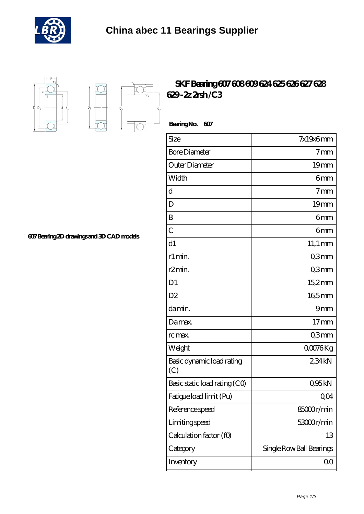



 $D_a$ 

Ď.

## **[SKF Bearing 607 608 609 624 625 626 627 628](https://m.buysomaonlinemed.com/skf-628-bearing/skf-bearing-607-608-609-624-625-626-627-628-629-2z-2rsh-c3.html) [629 -2z 2rsh /C3](https://m.buysomaonlinemed.com/skf-628-bearing/skf-bearing-607-608-609-624-625-626-627-628-629-2z-2rsh-c3.html)**

 **Bearing No. 607**

| Size                             | $7x19x6$ mm              |
|----------------------------------|--------------------------|
| <b>Bore Diameter</b>             | 7 <sub>mm</sub>          |
| Outer Diameter                   | 19 <sub>mm</sub>         |
| Width                            | 6mm                      |
| d                                | 7 <sub>mm</sub>          |
| D                                | 19 <sub>mm</sub>         |
| B                                | 6mm                      |
| $\overline{C}$                   | 6mm                      |
| d1                               | $11,1 \text{ mm}$        |
| r1 min.                          | Q3mm                     |
| r <sub>2</sub> min.              | Q3mm                     |
| D <sub>1</sub>                   | 15,2mm                   |
| D2                               | $165$ mm                 |
| da min.                          | 9mm                      |
| Damax.                           | $17$ mm                  |
| rc max.                          | Q3mm                     |
| Weight                           | Q0076Kg                  |
| Basic dynamic load rating<br>(C) | 234kN                    |
| Basic static load rating (CO)    | Q95kN                    |
| Fatigue load limit (Pu)          | QO4                      |
| Reference speed                  | 85000r/min               |
| Limiting speed                   | 53000r/min               |
| Calculation factor (fO)          | 13                       |
| Category                         | Single Row Ball Bearings |
| Inventory                        | 00                       |

**[607 Bearing 2D drawings and 3D CAD models](https://m.buysomaonlinemed.com/pic-639335.html)**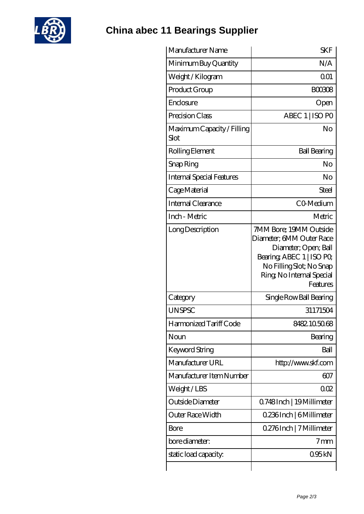

**[China abec 11 Bearings Supplier](https://m.buysomaonlinemed.com)**

| Manufacturer Name                  | <b>SKF</b>                                                                                                                                                                   |
|------------------------------------|------------------------------------------------------------------------------------------------------------------------------------------------------------------------------|
| Minimum Buy Quantity               | N/A                                                                                                                                                                          |
| Weight / Kilogram                  | 0 <sub>01</sub>                                                                                                                                                              |
| Product Group                      | <b>BOO308</b>                                                                                                                                                                |
| Enclosure                          | Open                                                                                                                                                                         |
| Precision Class                    | ABEC 1   ISO PO                                                                                                                                                              |
| Maximum Capacity / Filling<br>Slot | No                                                                                                                                                                           |
| Rolling Element                    | <b>Ball Bearing</b>                                                                                                                                                          |
| Snap Ring                          | No                                                                                                                                                                           |
| <b>Internal Special Features</b>   | No                                                                                                                                                                           |
| Cage Material                      | Steel                                                                                                                                                                        |
| Internal Clearance                 | CO-Medium                                                                                                                                                                    |
| Inch - Metric                      | Metric                                                                                                                                                                       |
| Long Description                   | 7MM Bore; 19MM Outside<br>Diameter; 6MM Outer Race<br>Diameter; Open; Ball<br>Bearing, ABEC 1   ISO PO,<br>No Filling Slot; No Snap<br>Ring, No Internal Special<br>Features |
| Category                           | Single Row Ball Bearing                                                                                                                                                      |
| <b>UNSPSC</b>                      | 31171504                                                                                                                                                                     |
| Harmonized Tariff Code             | 8482.105068                                                                                                                                                                  |
| Noun                               | Bearing                                                                                                                                                                      |
| Keyword String                     | Ball                                                                                                                                                                         |
| Manufacturer URL                   | http://www.skf.com                                                                                                                                                           |
| Manufacturer Item Number           | 607                                                                                                                                                                          |
| Weight/LBS                         | 002                                                                                                                                                                          |
| Outside Diameter                   | 0.748Inch   19 Millimeter                                                                                                                                                    |
| Outer Race Width                   | 0.236Inch   6Millimeter                                                                                                                                                      |
|                                    |                                                                                                                                                                              |
| Bore                               | 0.276Inch   7 Millimeter                                                                                                                                                     |
| bore diameter:                     | $7 \text{mm}$                                                                                                                                                                |